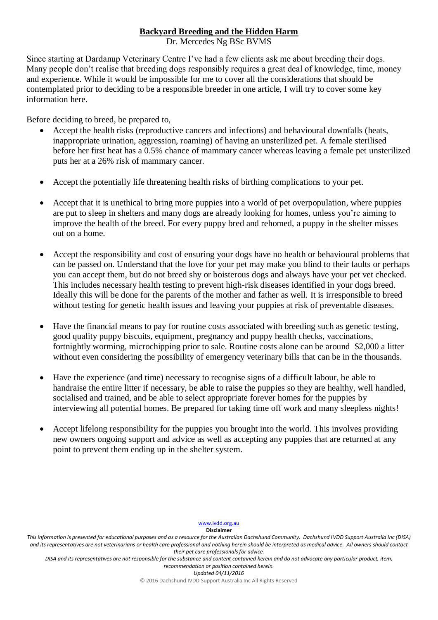## **Backyard Breeding and the Hidden Harm**

Dr. Mercedes Ng BSc BVMS

Since starting at Dardanup Veterinary Centre I've had a few clients ask me about breeding their dogs. Many people don't realise that breeding dogs responsibly requires a great deal of knowledge, time, money and experience. While it would be impossible for me to cover all the considerations that should be contemplated prior to deciding to be a responsible breeder in one article, I will try to cover some key information here.

Before deciding to breed, be prepared to,

- Accept the health risks (reproductive cancers and infections) and behavioural downfalls (heats, inappropriate urination, aggression, roaming) of having an unsterilized pet. A female sterilised before her first heat has a 0.5% chance of mammary cancer whereas leaving a female pet unsterilized puts her at a 26% risk of mammary cancer.
- Accept the potentially life threatening health risks of birthing complications to your pet.
- Accept that it is unethical to bring more puppies into a world of pet overpopulation, where puppies are put to sleep in shelters and many dogs are already looking for homes, unless you're aiming to improve the health of the breed. For every puppy bred and rehomed, a puppy in the shelter misses out on a home.
- Accept the responsibility and cost of ensuring your dogs have no health or behavioural problems that can be passed on. Understand that the love for your pet may make you blind to their faults or perhaps you can accept them, but do not breed shy or boisterous dogs and always have your pet vet checked. This includes necessary health testing to prevent high-risk diseases identified in your dogs breed. Ideally this will be done for the parents of the mother and father as well. It is irresponsible to breed without testing for genetic health issues and leaving your puppies at risk of preventable diseases.
- Have the financial means to pay for routine costs associated with breeding such as genetic testing, good quality puppy biscuits, equipment, pregnancy and puppy health checks, vaccinations, fortnightly worming, microchipping prior to sale. Routine costs alone can be around \$2,000 a litter without even considering the possibility of emergency veterinary bills that can be in the thousands.
- Have the experience (and time) necessary to recognise signs of a difficult labour, be able to handraise the entire litter if necessary, be able to raise the puppies so they are healthy, well handled, socialised and trained, and be able to select appropriate forever homes for the puppies by interviewing all potential homes. Be prepared for taking time off work and many sleepless nights!
- Accept lifelong responsibility for the puppies you brought into the world. This involves providing new owners ongoing support and advice as well as accepting any puppies that are returned at any point to prevent them ending up in the shelter system.

[www.ivdd.org.au](https://www.facebook.com/ivddaustralia) **Disclaimer**

*This information is presented for educational purposes and as a resource for the Australian Dachshund Community. Dachshund IVDD Support Australia Inc (DISA) and its representatives are not veterinarians or health care professional and nothing herein should be interpreted as medical advice. All owners should contact their pet care professionals for advice.* 

*DISA and its representatives are not responsible for the substance and content contained herein and do not advocate any particular product, item, recommendation or position contained herein.*

*Updated 04/11/2016*

© 2016 Dachshund IVDD Support Australia Inc All Rights Reserved